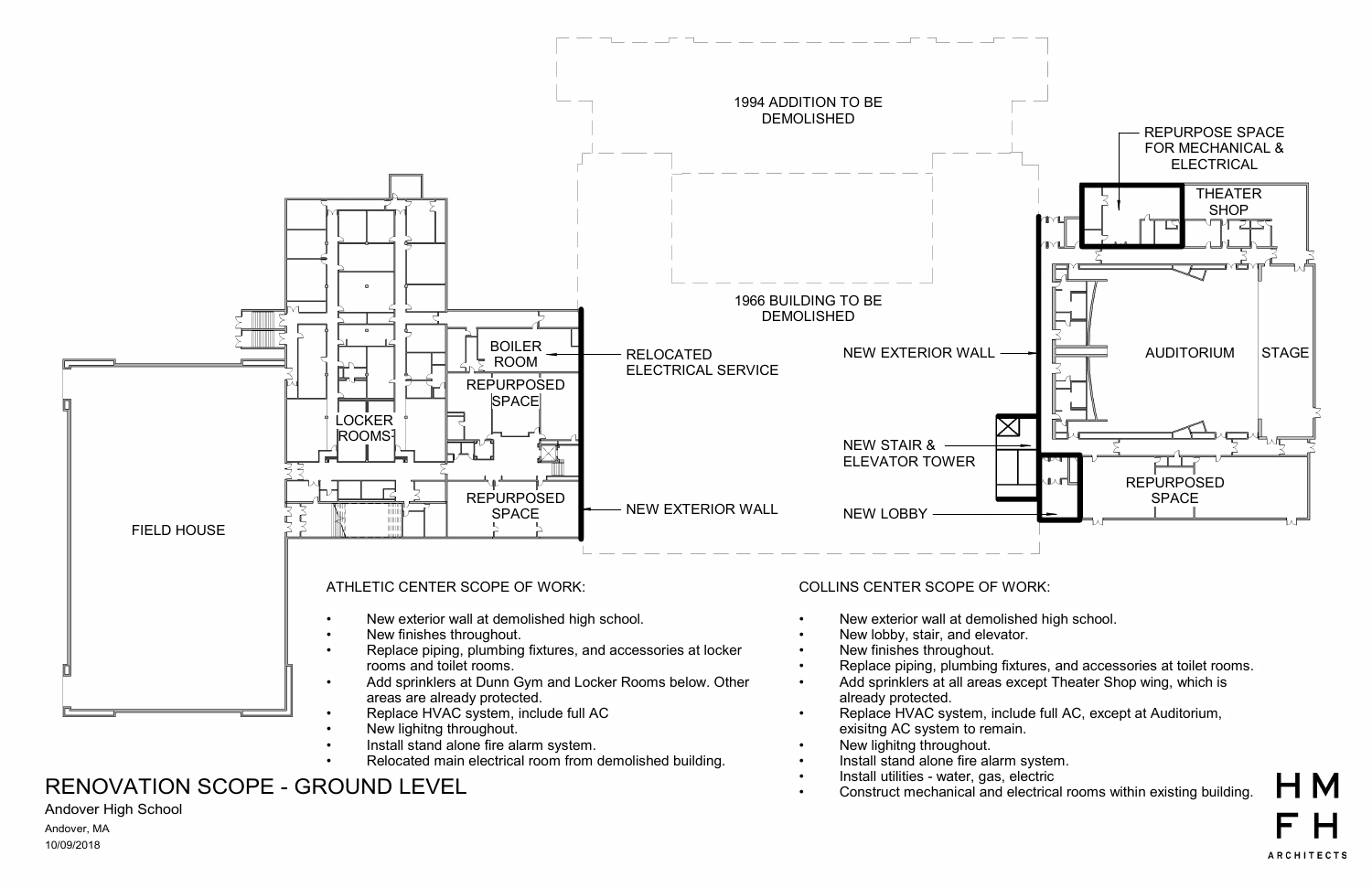

# er and the comparison of the UNEVIDUATION SCOPE - GROUND LEVEL **Finall and the construct mechanical and electrical rooms within existing building.**

### Andover High School

10/09/2018 Andover, MA

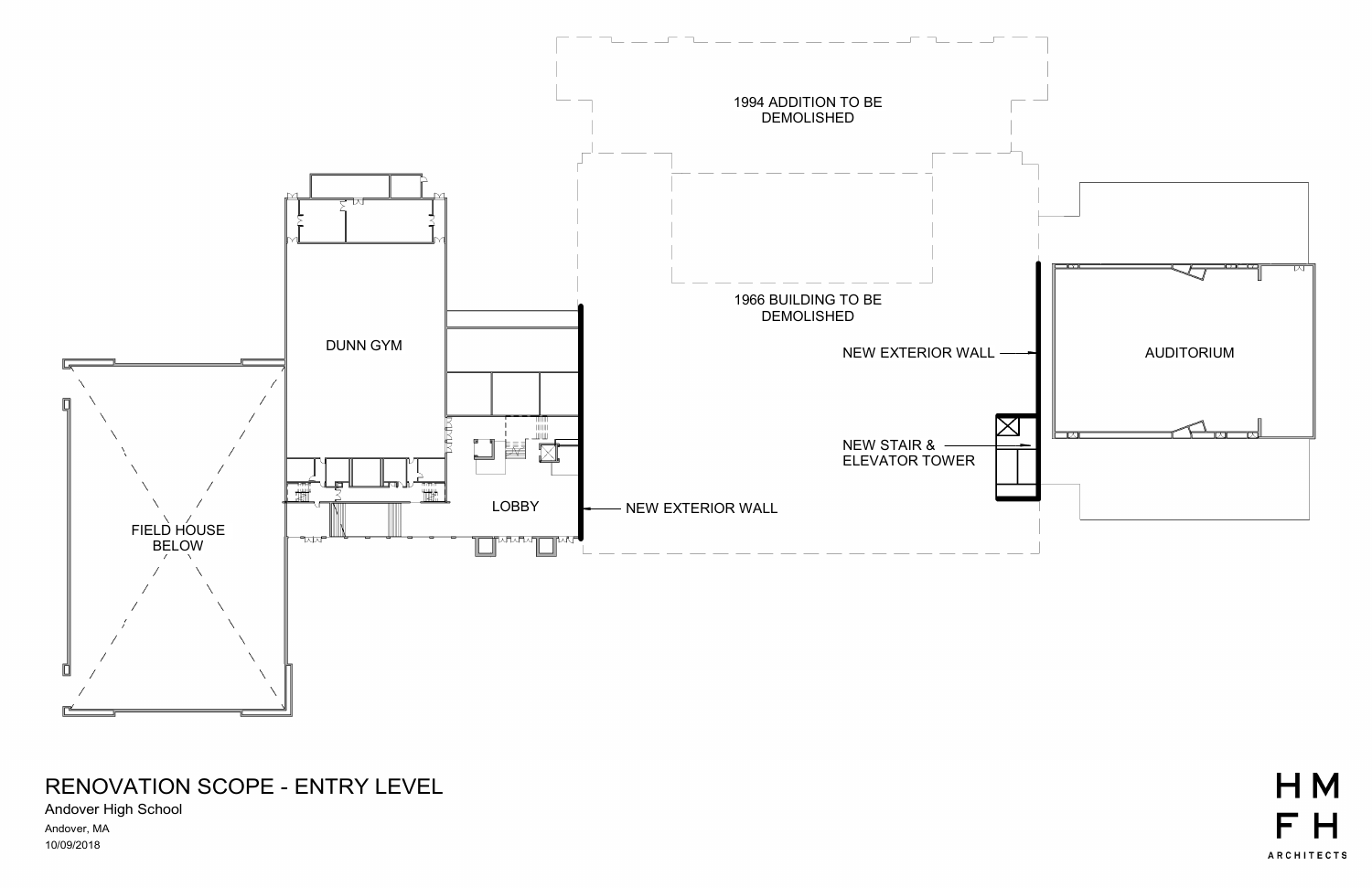

## RENOVATION SCOPE - ENTRY LEVEL

Andover High School 10/09/2018 Andover, MA